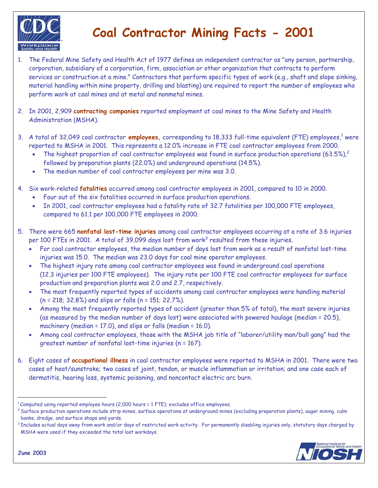

## **Coal Contractor Mining Facts - 2001**

- 1. The Federal Mine Safety and Health Act of 1977 defines an independent contractor as "any person, partnership, corporation, subsidiary of a corporation, firm, association or other organization that contracts to perform services or construction at a mine." Contractors that perform specific types of work (e.g., shaft and slope sinking, material handling within mine property, drilling and blasting) are required to report the number of employees who perform work at coal mines and at metal and nonmetal mines.
- 2. In 2001, 2,909 **contracting companies** reported employment at coal mines to the Mine Safety and Health Administration (MSHA).
- 3. A total of 32,049 coal contractor **employees**, corresponding to 18,333 full-time equivalent (FTE) employees,<sup>1</sup> were reported to MSHA in 2001. This represents a 12.0% increase in FTE coal contractor employees from 2000.
	- The highest proportion of coal contractor employees was found in surface production operations  $(63.5\%)^2$ followed by preparation plants (22.0%) and underground operations (14.5%).
	- The median number of coal contractor employees per mine was 3.0.
- 4. Six work-related **fatalities** occurred among coal contractor employees in 2001, compared to 10 in 2000.
	- Four out of the six fatalities occurred in surface production operations.
	- In 2001, coal contractor employees had a fatality rate of 32.7 fatalities per 100,000 FTE employees, compared to 61.1 per 100,000 FTE employees in 2000.
- 5. There were 665 **nonfatal lost-time injuries** among coal contractor employees occurring at a rate of 3.6 injuries per 100 FTEs in 2001. A total of 39,099 days lost from work $^3$  resulted from these injuries.
	- For coal contractor employees, the median number of days lost from work as a result of nonfatal lost-time injuries was 15.0. The median was 23.0 days for coal mine operator employees.
	- The highest injury rate among coal contractor employees was found in underground coal operations (12.3 injuries per 100 FTE employees). The injury rate per 100 FTE coal contractor employees for surface production and preparation plants was 2.0 and 2.7, respectively.
	- The most frequently reported types of accidents among coal contractor employees were handling material (n = 218; 32.8%) and slips or falls (n = 151; 22.7%).
	- Among the most frequently reported types of accident (greater than 5% of total), the most severe injuries (as measured by the median number of days lost) were associated with powered haulage (median = 20.5), machinery (median = 17.0), and slips or falls (median = 16.0).
	- Among coal contractor employees, those with the MSHA job title of "laborer/utility man/bull gang" had the greatest number of nonfatal lost-time injuries (n = 167).
- 6. Eight cases of **occupational illness** in coal contractor employees were reported to MSHA in 2001. There were two cases of heat/sunstroke; two cases of joint, tendon, or muscle inflammation or irritation; and one case each of dermatitis, hearing loss, systemic poisoning, and noncontact electric arc burn.

MSHA were used if they exceeded the total lost workdays.



<sup>&</sup>lt;sup>1</sup>Computed using reported employee hours (2,000 hours = 1 FTE); excludes office employees.<br><sup>2</sup> Surface production operations include strip mines, surface operations at underground mines (excluding preparation plants), aug banks, dredge, and surface shops and yards.<br><sup>3</sup> Includes actual days away from work and/or days of restricted work activity. For permanently disabling injuries only, statutory days charged by